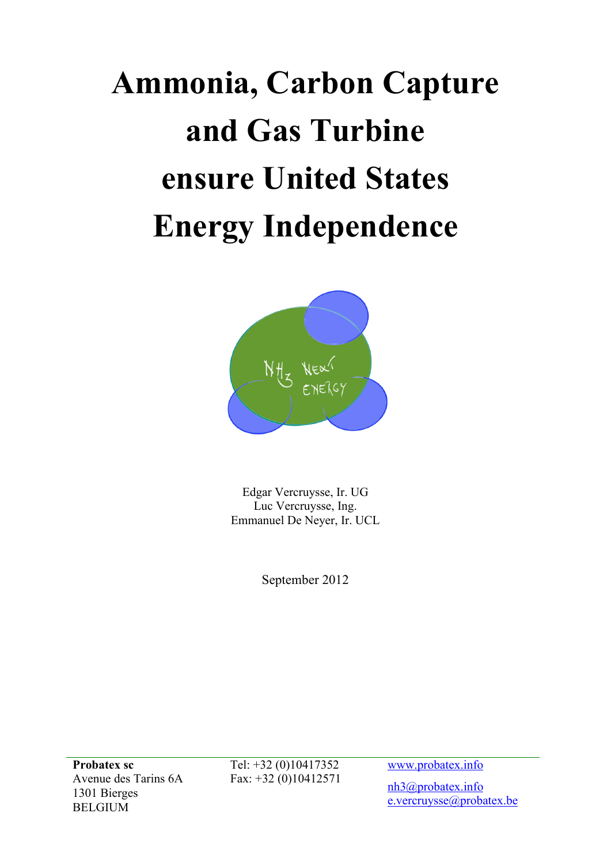# **Ammonia, Carbon Capture and Gas Turbine ensure United States Energy Independence**



Edgar Vercruysse, Ir. UG Luc Vercruysse, Ing. Emmanuel De Neyer, Ir. UCL

September 2012

**Probatex sc** Avenue des Tarins 6A 1301 Bierges BELGIUM

Tel: +32 (0)10417352 Fax: +32 (0)10412571 www.probatex.info

nh3@probatex.info e.vercruysse@probatex.be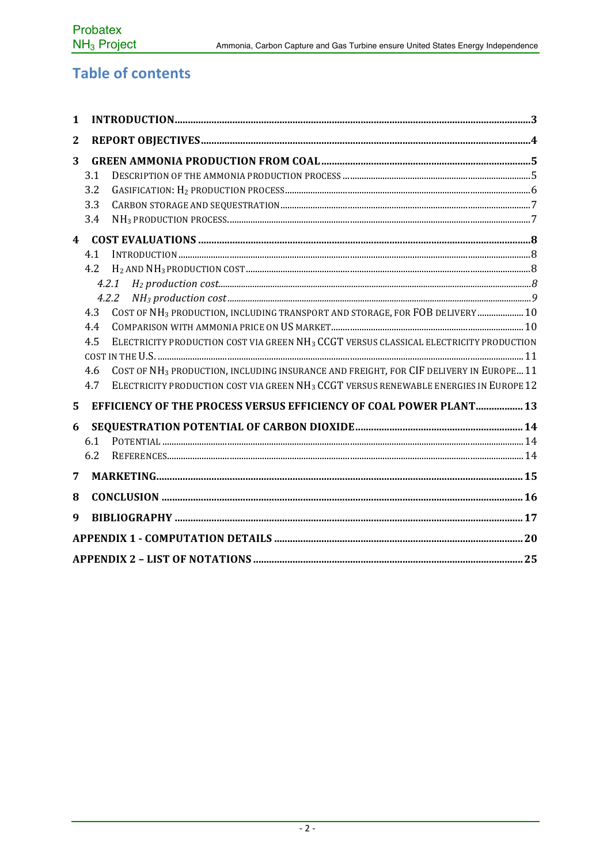## **Table of contents**

| 1                       |     |                                                                                                    |
|-------------------------|-----|----------------------------------------------------------------------------------------------------|
| $\mathbf{2}$            |     |                                                                                                    |
| 3                       |     |                                                                                                    |
|                         | 3.1 |                                                                                                    |
|                         | 3.2 |                                                                                                    |
|                         | 3.3 |                                                                                                    |
|                         | 3.4 |                                                                                                    |
| $\overline{\mathbf{4}}$ |     |                                                                                                    |
|                         | 4.1 |                                                                                                    |
|                         | 4.2 |                                                                                                    |
|                         |     | 4.2.1                                                                                              |
|                         |     | 4.2.2                                                                                              |
|                         | 4.3 | COST OF NH <sub>3</sub> PRODUCTION, INCLUDING TRANSPORT AND STORAGE, FOR FOB DELIVERY 10           |
|                         | 4.4 |                                                                                                    |
|                         | 4.5 | ELECTRICITY PRODUCTION COST VIA GREEN NH <sub>3</sub> CCGT VERSUS CLASSICAL ELECTRICITY PRODUCTION |
|                         |     |                                                                                                    |
|                         | 4.6 | COST OF NH <sub>3</sub> PRODUCTION, INCLUDING INSURANCE AND FREIGHT, FOR CIF DELIVERY IN EUROPE 11 |
|                         | 4.7 | ELECTRICITY PRODUCTION COST VIA GREEN NH <sub>3</sub> CCGT VERSUS RENEWABLE ENERGIES IN EUROPE 12  |
| 5                       |     | EFFICIENCY OF THE PROCESS VERSUS EFFICIENCY OF COAL POWER PLANT 13                                 |
| 6                       |     |                                                                                                    |
|                         | 6.1 |                                                                                                    |
|                         | 6.2 |                                                                                                    |
| 7                       |     |                                                                                                    |
| 8                       |     |                                                                                                    |
| 9                       |     |                                                                                                    |
|                         |     |                                                                                                    |
|                         |     |                                                                                                    |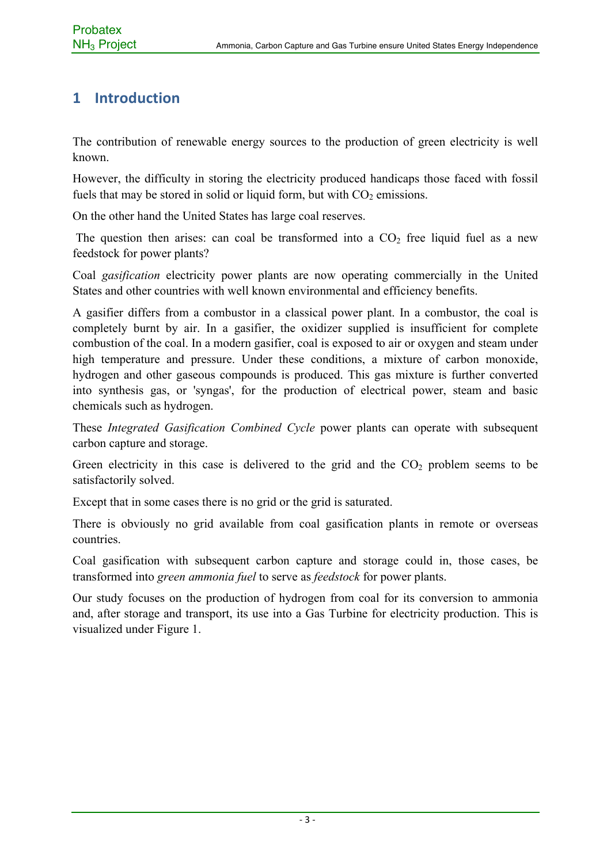## **1 Introduction**

The contribution of renewable energy sources to the production of green electricity is well known.

However, the difficulty in storing the electricity produced handicaps those faced with fossil fuels that may be stored in solid or liquid form, but with  $CO<sub>2</sub>$  emissions.

On the other hand the United States has large coal reserves.

The question then arises: can coal be transformed into a  $CO<sub>2</sub>$  free liquid fuel as a new feedstock for power plants?

Coal *gasification* electricity power plants are now operating commercially in the United States and other countries with well known environmental and efficiency benefits.

A gasifier differs from a combustor in a classical power plant. In a combustor, the coal is completely burnt by air. In a gasifier, the oxidizer supplied is insufficient for complete combustion of the coal. In a modern gasifier, coal is exposed to air or oxygen and steam under high temperature and pressure. Under these conditions, a mixture of carbon monoxide, hydrogen and other gaseous compounds is produced. This gas mixture is further converted into synthesis gas, or 'syngas', for the production of electrical power, steam and basic chemicals such as hydrogen.

These *Integrated Gasification Combined Cycle* power plants can operate with subsequent carbon capture and storage.

Green electricity in this case is delivered to the grid and the  $CO<sub>2</sub>$  problem seems to be satisfactorily solved.

Except that in some cases there is no grid or the grid is saturated.

There is obviously no grid available from coal gasification plants in remote or overseas countries.

Coal gasification with subsequent carbon capture and storage could in, those cases, be transformed into *green ammonia fuel* to serve as *feedstock* for power plants.

Our study focuses on the production of hydrogen from coal for its conversion to ammonia and, after storage and transport, its use into a Gas Turbine for electricity production. This is visualized under Figure 1.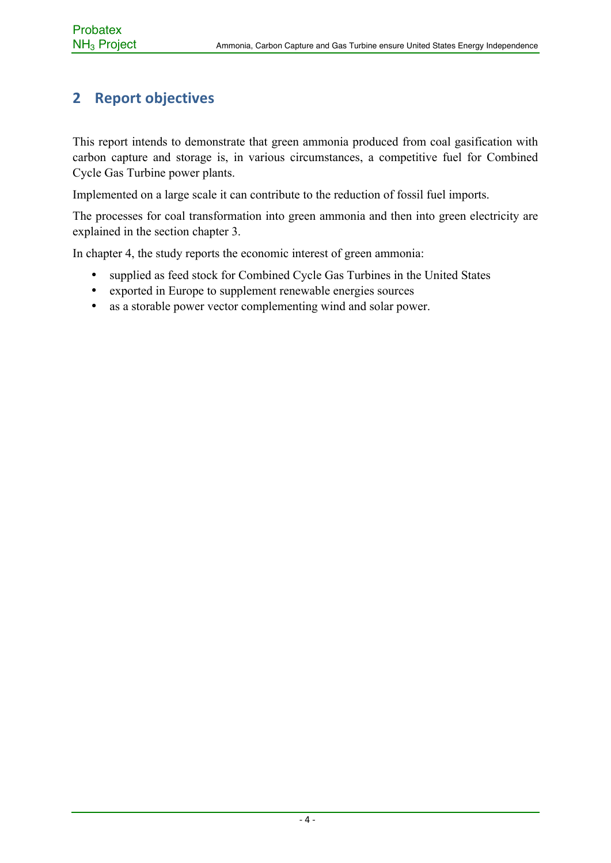## **2 Report objectives**

This report intends to demonstrate that green ammonia produced from coal gasification with carbon capture and storage is, in various circumstances, a competitive fuel for Combined Cycle Gas Turbine power plants.

Implemented on a large scale it can contribute to the reduction of fossil fuel imports.

The processes for coal transformation into green ammonia and then into green electricity are explained in the section chapter 3.

In chapter 4, the study reports the economic interest of green ammonia:

- supplied as feed stock for Combined Cycle Gas Turbines in the United States
- exported in Europe to supplement renewable energies sources
- as a storable power vector complementing wind and solar power.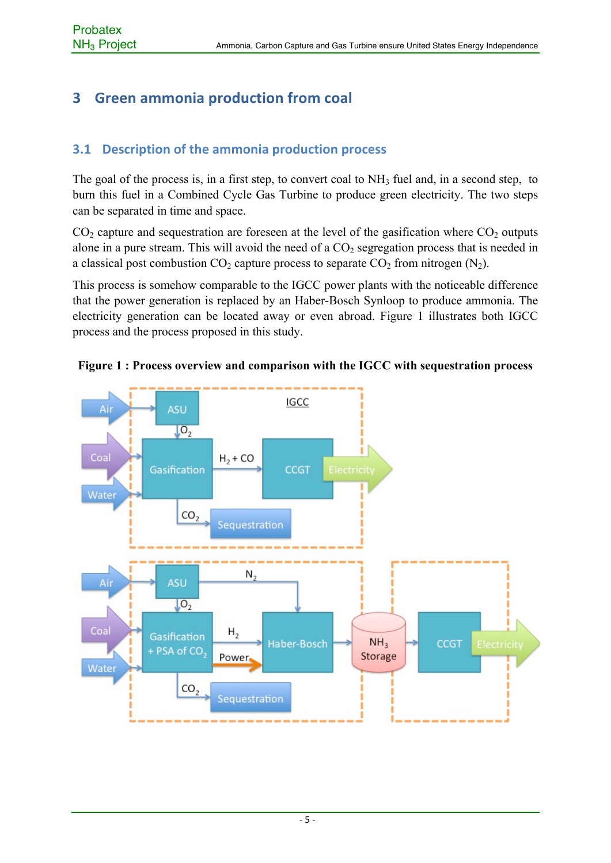## **3 Green ammonia production from coal**

## **3.1 Description of the ammonia production process**

The goal of the process is, in a first step, to convert coal to  $NH<sub>3</sub>$  fuel and, in a second step, to burn this fuel in a Combined Cycle Gas Turbine to produce green electricity. The two steps can be separated in time and space.

 $CO<sub>2</sub>$  capture and sequestration are foreseen at the level of the gasification where  $CO<sub>2</sub>$  outputs alone in a pure stream. This will avoid the need of a  $CO<sub>2</sub>$  segregation process that is needed in a classical post combustion  $CO_2$  capture process to separate  $CO_2$  from nitrogen  $(N_2)$ .

This process is somehow comparable to the IGCC power plants with the noticeable difference that the power generation is replaced by an Haber-Bosch Synloop to produce ammonia. The electricity generation can be located away or even abroad. Figure 1 illustrates both IGCC process and the process proposed in this study.



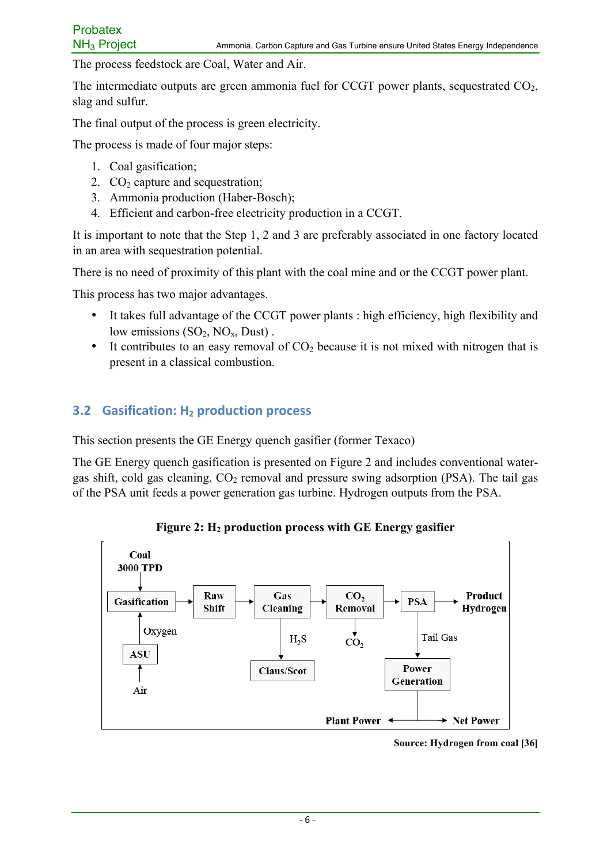The process feedstock are Coal, Water and Air.

The intermediate outputs are green ammonia fuel for CCGT power plants, sequestrated  $CO<sub>2</sub>$ , slag and sulfur.

The final output of the process is green electricity.

The process is made of four major steps:

- 1. Coal gasification;
- 2.  $CO<sub>2</sub>$  capture and sequestration;
- 3. Ammonia production (Haber-Bosch);
- 4. Efficient and carbon-free electricity production in a CCGT.

It is important to note that the Step 1, 2 and 3 are preferably associated in one factory located in an area with sequestration potential.

There is no need of proximity of this plant with the coal mine and or the CCGT power plant.

This process has two major advantages.

- It takes full advantage of the CCGT power plants : high efficiency, high flexibility and low emissions  $(SO_2, NO_x, Dust)$ .
- It contributes to an easy removal of  $CO<sub>2</sub>$  because it is not mixed with nitrogen that is present in a classical combustion.

#### **3.2 Gasification: H<sub>2</sub> production process**

This section presents the GE Energy quench gasifier (former Texaco)

The GE Energy quench gasification is presented on Figure 2 and includes conventional watergas shift, cold gas cleaning,  $CO<sub>2</sub>$  removal and pressure swing adsorption (PSA). The tail gas of the PSA unit feeds a power generation gas turbine. Hydrogen outputs from the PSA.

**Figure 2: H2 production process with GE Energy gasifier**



**Source: Hydrogen from coal [36]**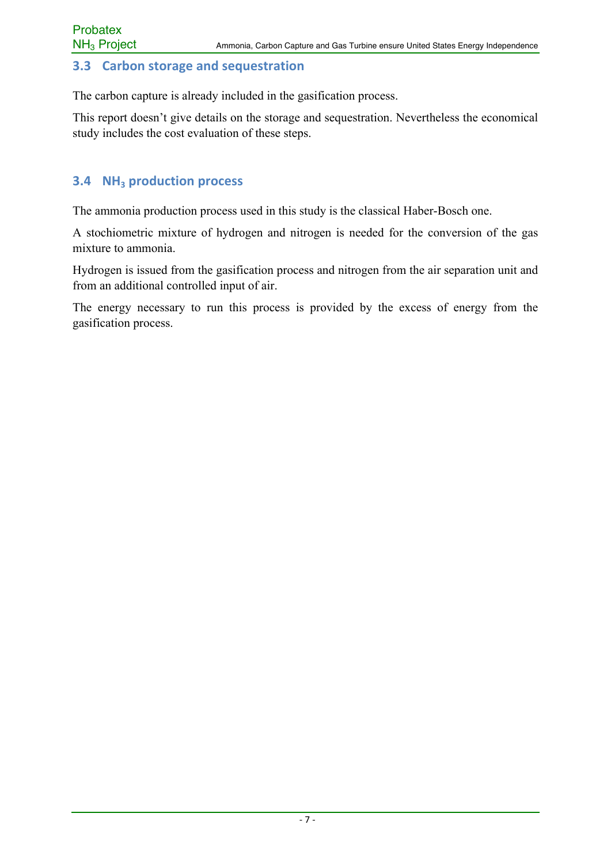#### **3.3 Carbon storage and sequestration**

The carbon capture is already included in the gasification process.

This report doesn't give details on the storage and sequestration. Nevertheless the economical study includes the cost evaluation of these steps.

## **3.4 NH<sub>3</sub> production process**

The ammonia production process used in this study is the classical Haber-Bosch one.

A stochiometric mixture of hydrogen and nitrogen is needed for the conversion of the gas mixture to ammonia.

Hydrogen is issued from the gasification process and nitrogen from the air separation unit and from an additional controlled input of air.

The energy necessary to run this process is provided by the excess of energy from the gasification process.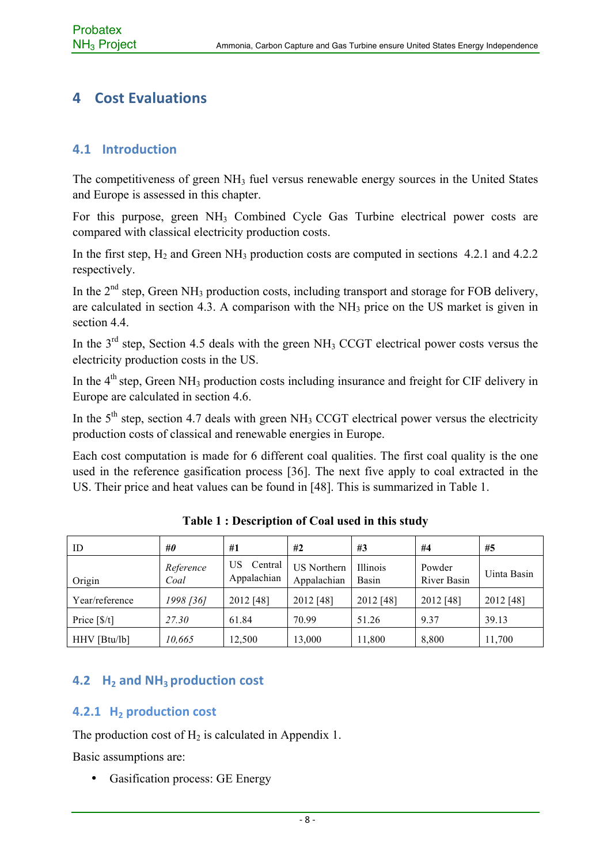## **4 Cost Evaluations**

#### **4.1 Introduction**

The competitiveness of green NH<sub>3</sub> fuel versus renewable energy sources in the United States and Europe is assessed in this chapter.

For this purpose, green NH3 Combined Cycle Gas Turbine electrical power costs are compared with classical electricity production costs.

In the first step,  $H_2$  and Green NH<sub>3</sub> production costs are computed in sections 4.2.1 and 4.2.2 respectively.

In the  $2<sup>nd</sup>$  step, Green NH<sub>3</sub> production costs, including transport and storage for FOB delivery, are calculated in section 4.3. A comparison with the  $NH<sub>3</sub>$  price on the US market is given in section 4.4

In the 3<sup>rd</sup> step, Section 4.5 deals with the green NH<sub>3</sub> CCGT electrical power costs versus the electricity production costs in the US.

In the  $4<sup>th</sup>$  step, Green NH<sub>3</sub> production costs including insurance and freight for CIF delivery in Europe are calculated in section 4.6.

In the  $5<sup>th</sup>$  step, section 4.7 deals with green NH<sub>3</sub> CCGT electrical power versus the electricity production costs of classical and renewable energies in Europe.

Each cost computation is made for 6 different coal qualities. The first coal quality is the one used in the reference gasification process [36]. The next five apply to coal extracted in the US. Their price and heat values can be found in [48]. This is summarized in Table 1.

| ID             | #0                | #1                           | #2                                | #3                | #4                           | #5          |
|----------------|-------------------|------------------------------|-----------------------------------|-------------------|------------------------------|-------------|
| Origin         | Reference<br>Coal | US<br>Central<br>Appalachian | <b>US</b> Northern<br>Appalachian | Illinois<br>Basin | Powder<br><b>River Basin</b> | Uinta Basin |
| Year/reference | 1998 [36]         | 2012 [48]                    | 2012 [48]                         | 2012 [48]         | 2012 [48]                    | 2012 [48]   |
| Price $[S/t]$  | 27.30             | 61.84                        | 70.99                             | 51.26             | 9.37                         | 39.13       |
| HHV [Btu/lb]   | 10,665            | 12,500                       | 13,000                            | 11,800            | 8,800                        | 11,700      |

**Table 1 : Description of Coal used in this study**

## **4.2 H<sub>2</sub>** and NH<sub>3</sub> production cost

#### **4.2.1 H<sub>2</sub>** production cost

The production cost of  $H_2$  is calculated in Appendix 1.

Basic assumptions are:

• Gasification process: GE Energy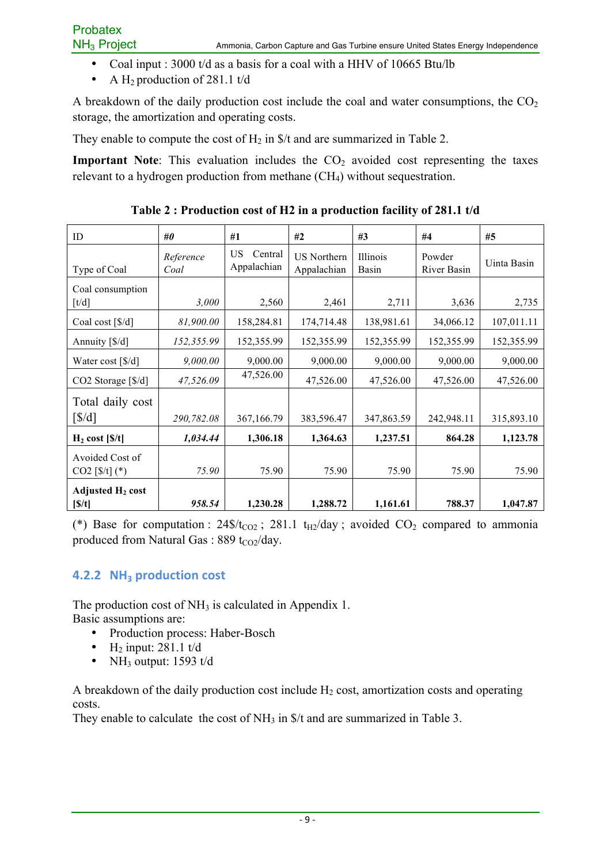- Coal input : 3000 t/d as a basis for a coal with a HHV of 10665 Btu/lb
- A H<sub>2</sub> production of 281.1 t/d

A breakdown of the daily production cost include the coal and water consumptions, the  $CO<sub>2</sub>$ storage, the amortization and operating costs.

They enable to compute the cost of  $H_2$  in  $\frac{1}{2}$  and are summarized in Table 2.

**Important Note**: This evaluation includes the CO<sub>2</sub> avoided cost representing the taxes relevant to a hydrogen production from methane  $(CH<sub>4</sub>)$  without sequestration.

| ID                                      | #0                | #1                            | #2                                | #3                | #4                    | #5          |
|-----------------------------------------|-------------------|-------------------------------|-----------------------------------|-------------------|-----------------------|-------------|
| Type of Coal                            | Reference<br>Coal | US.<br>Central<br>Appalachian | <b>US</b> Northern<br>Appalachian | Illinois<br>Basin | Powder<br>River Basin | Uinta Basin |
| Coal consumption<br>$\lceil t/d \rceil$ | 3,000             | 2,560                         | 2,461                             | 2,711             | 3,636                 | 2,735       |
| Coal cost $[S/d]$                       | 81,900.00         | 158,284.81                    | 174,714.48                        | 138,981.61        | 34,066.12             | 107,011.11  |
| Annuity [\$/d]                          | 152,355.99        | 152,355.99                    | 152,355.99                        | 152,355.99        | 152,355.99            | 152,355.99  |
| Water cost [\$/d]                       | 9,000.00          | 9,000.00                      | 9,000.00                          | 9,000.00          | 9,000.00              | 9,000.00    |
| CO2 Storage [\$/d]                      | 47,526.09         | 47,526.00                     | 47,526.00                         | 47,526.00         | 47,526.00             | 47,526.00   |
| Total daily cost                        |                   |                               |                                   |                   |                       |             |
| $\left[\frac{g}{d}\right]$              | 290,782.08        | 367,166.79                    | 383,596.47                        | 347,863.59        | 242,948.11            | 315,893.10  |
| $H_2 \text{ cost } [S/t]$               | 1,034.44          | 1,306.18                      | 1,364.63                          | 1,237.51          | 864.28                | 1,123.78    |
| Avoided Cost of<br>$CO2$ [\$/t] (*)     | 75.90             | 75.90                         | 75.90                             | 75.90             | 75.90                 | 75.90       |
| Adjusted H <sub>2</sub> cost<br>[S/t]   | 958.54            | 1,230.28                      | 1,288.72                          | 1,161.61          | 788.37                | 1,047.87    |

**Table 2 : Production cost of H2 in a production facility of 281.1 t/d**

(\*) Base for computation :  $24\frac{f}{c_{Q2}}$ ; 281.1 t<sub>H2</sub>/day ; avoided  $CO_2$  compared to ammonia produced from Natural Gas : 889 t $_{CO2}/day$ .

#### **4.2.2 NH<sub>3</sub> production cost**

The production cost of  $NH_3$  is calculated in Appendix 1. Basic assumptions are:

- Production process: Haber-Bosch
- H<sub>2</sub> input:  $281.1$  t/d
- NH<sub>3</sub> output:  $1593$  t/d

A breakdown of the daily production cost include  $H_2$  cost, amortization costs and operating costs.

They enable to calculate the cost of NH<sub>3</sub> in \$/t and are summarized in Table 3.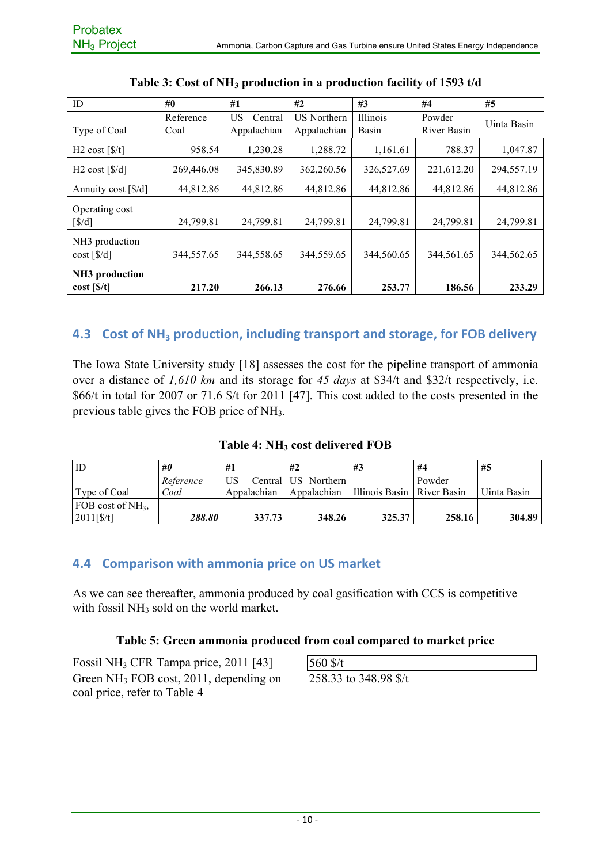| ID                                               | $\#0$      | #1            | #2                 | #3              | #4          | #5          |
|--------------------------------------------------|------------|---------------|--------------------|-----------------|-------------|-------------|
|                                                  | Reference  | US<br>Central | <b>US Northern</b> | <b>Illinois</b> | Powder      | Uinta Basin |
| Type of Coal                                     | Coal       | Appalachian   | Appalachian        | Basin           | River Basin |             |
| H <sub>2</sub> cost $\left[\frac{\pi}{3}\right]$ | 958.54     | 1,230.28      | 1,288.72           | 1,161.61        | 788.37      | 1,047.87    |
| $H2 \text{ cost } [\frac{6}{d}]$                 | 269,446.08 | 345,830.89    | 362,260.56         | 326,527.69      | 221,612.20  | 294,557.19  |
| Annuity cost [\$/d]                              | 44,812.86  | 44,812.86     | 44,812.86          | 44,812.86       | 44,812.86   | 44,812.86   |
| Operating cost                                   |            |               |                    |                 |             |             |
| $\left\lceil \frac{s}{d} \right\rceil$           | 24,799.81  | 24,799.81     | 24,799.81          | 24,799.81       | 24,799.81   | 24,799.81   |
| NH <sub>3</sub> production                       |            |               |                    |                 |             |             |
| $cost$ [ $\frac{1}{3}$ /d]                       | 344,557.65 | 344,558.65    | 344,559.65         | 344,560.65      | 344,561.65  | 344,562.65  |
| NH <sub>3</sub> production                       |            |               |                    |                 |             |             |
| $cost$ [ $\frac{s}{t}$ ]                         | 217.20     | 266.13        | 276.66             | 253.77          | 186.56      | 233.29      |

#### **4.3** Cost of NH<sub>3</sub> production, including transport and storage, for FOB delivery

The Iowa State University study [18] assesses the cost for the pipeline transport of ammonia over a distance of *1,610 km* and its storage for *45 days* at \$34/t and \$32/t respectively, i.e. \$66/t in total for 2007 or 71.6 \$/t for 2011 [47]. This cost added to the costs presented in the previous table gives the FOB price of NH3.

#### **Table 4: NH3 cost delivered FOB**

| ID                  | #0        | #1          | #2                  | #3                           | #4     | #5          |
|---------------------|-----------|-------------|---------------------|------------------------------|--------|-------------|
|                     | Reference | US          | Central US Northern |                              | Powder |             |
| Type of Coal        | Coal      | Appalachian | Appalachian         | Illinois Basin   River Basin |        | Uinta Basin |
| FOB cost of $NH3$ . |           |             |                     |                              |        |             |
| 2011[ <b>§</b> /t]  | 288.80    | 337.73      | 348.26              | 325.37                       | 258.16 | 304.89      |

#### **4.4 Comparison with ammonia price on US market**

As we can see thereafter, ammonia produced by coal gasification with CCS is competitive with fossil NH<sub>3</sub> sold on the world market.

#### **Table 5: Green ammonia produced from coal compared to market price**

| Fossil NH <sub>3</sub> CFR Tampa price, 2011 [43] | $560$ \$/t            |
|---------------------------------------------------|-----------------------|
| Green $NH_3$ FOB cost, 2011, depending on         | 258.33 to 348.98 \$/t |
| coal price, refer to Table 4                      |                       |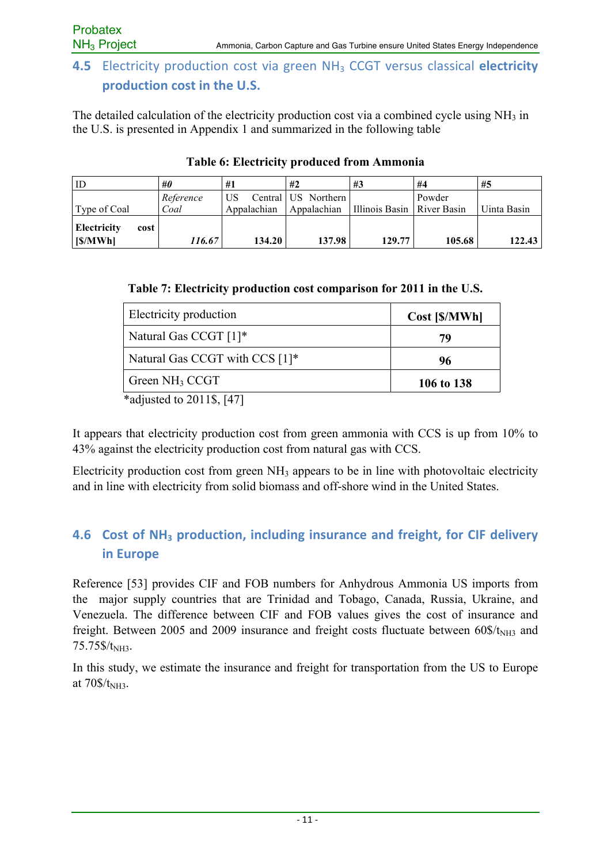## **4.5** Electricity production cost via green NH<sub>3</sub> CCGT versus classical electricity **production cost in the U.S.**

The detailed calculation of the electricity production cost via a combined cycle using  $NH<sub>3</sub>$  in the U.S. is presented in Appendix 1 and summarized in the following table

| ID                                    | #0                | #1                | #2                                 | #3                           | #4     | #5          |
|---------------------------------------|-------------------|-------------------|------------------------------------|------------------------------|--------|-------------|
| Type of Coal                          | Reference<br>Coal | US<br>Appalachian | Central US Northern<br>Appalachian | Illinois Basin   River Basin | Powder | Uinta Basin |
| <b>Electricity</b><br>cost<br>[S/MWh] | 116.67            | 134.20            | 137.98                             | 129.77                       | 105.68 | 122.43      |

#### **Table 6: Electricity produced from Ammonia**

| Table 7: Electricity production cost comparison for 2011 in the U.S. |  |  |  |
|----------------------------------------------------------------------|--|--|--|
|                                                                      |  |  |  |

| Electricity production         | Cost [\$/MWh] |
|--------------------------------|---------------|
| Natural Gas CCGT [1]*          | 79            |
| Natural Gas CCGT with CCS [1]* | 96            |
| Green NH <sub>3</sub> CCGT     | 106 to 138    |

\*adjusted to 2011\$, [47]

It appears that electricity production cost from green ammonia with CCS is up from 10% to 43% against the electricity production cost from natural gas with CCS.

Electricity production cost from green NH3 appears to be in line with photovoltaic electricity and in line with electricity from solid biomass and off-shore wind in the United States.

## **4.6 Cost of NH<sub>3</sub> production, including insurance and freight, for CIF delivery in Europe**

Reference [53] provides CIF and FOB numbers for Anhydrous Ammonia US imports from the major supply countries that are Trinidad and Tobago, Canada, Russia, Ukraine, and Venezuela. The difference between CIF and FOB values gives the cost of insurance and freight. Between 2005 and 2009 insurance and freight costs fluctuate between  $60\frac{\text{S}}{\text{N}}$ <sub>NH3</sub> and 75.75\$/t<sub>NH3</sub>.

In this study, we estimate the insurance and freight for transportation from the US to Europe at  $70\$ {S}/t<sub>NH3</sub>.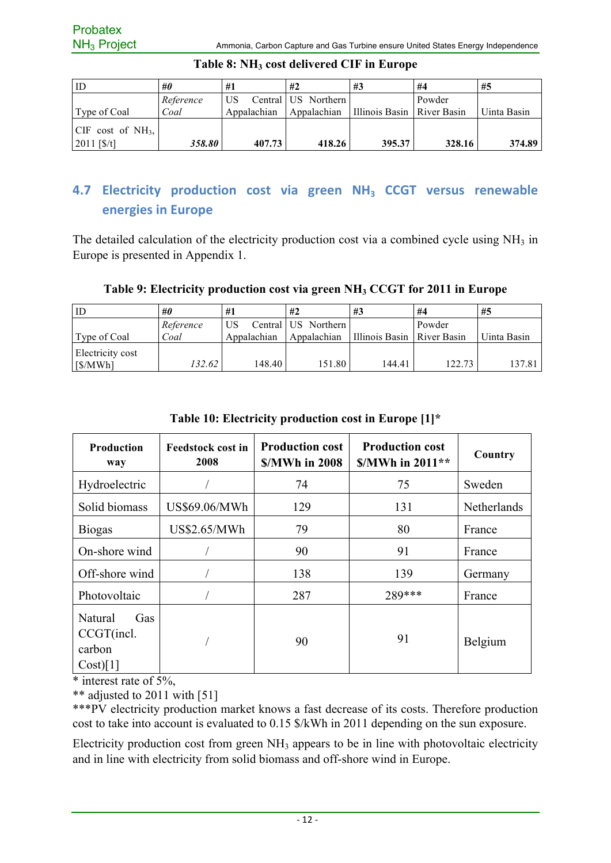| ID                                            | #0        | #1          | #2                  | #3                           | #4     | #5          |
|-----------------------------------------------|-----------|-------------|---------------------|------------------------------|--------|-------------|
|                                               | Reference | US          | Central US Northern |                              | Powder |             |
| Type of Coal                                  | Coal      | Appalachian | Appalachian         | Illinois Basin   River Basin |        | Uinta Basin |
| $\vert$ CIF cost of NH <sub>3</sub> , $\vert$ |           |             |                     |                              |        |             |
| $2011$ [\$/t]                                 | 358.80    | 407.73      | 418.26              | 395.37                       | 328.16 | 374.89      |

#### **Table 8: NH3 cost delivered CIF in Europe**

## **4.7 Electricity production cost via green NH<sub>3</sub> CCGT versus renewable energies in Europe**

The detailed calculation of the electricity production cost via a combined cycle using  $NH<sub>3</sub>$  in Europe is presented in Appendix 1.

#### **Table 9: Electricity production cost via green NH3 CCGT for 2011 in Europe**

| ID                          | #0        | #1          | #2                  | #3                           | #4     | #5          |
|-----------------------------|-----------|-------------|---------------------|------------------------------|--------|-------------|
|                             | Reference | US          | Central US Northern |                              | Powder |             |
| Type of Coal                | Coal      | Appalachian | Appalachian         | Illinois Basin   River Basin |        | Uinta Basin |
| Electricity cost<br>[S/MWh] | 132.62    | 148.40      | 151.80              | 144.41                       | 122.73 | 137.81      |

| <b>Production</b><br>way                           | <b>Feedstock cost in</b><br>2008 | <b>Production cost</b><br><b>S/MWh in 2008</b> | <b>Production cost</b><br>$$/MWh$ in 2011** | Country     |
|----------------------------------------------------|----------------------------------|------------------------------------------------|---------------------------------------------|-------------|
| Hydroelectric                                      |                                  | 74                                             | 75                                          | Sweden      |
| Solid biomass                                      | US\$69.06/MWh                    | 129                                            | 131                                         | Netherlands |
| <b>Biogas</b>                                      | US\$2.65/MWh                     | 79                                             | 80                                          | France      |
| On-shore wind                                      |                                  | 90                                             | 91                                          | France      |
| Off-shore wind                                     |                                  | 138                                            | 139                                         | Germany     |
| Photovoltaic                                       |                                  | 287                                            | 289***                                      | France      |
| Natural<br>Gas<br>CCGT(incl.<br>carbon<br>Cost)[1] |                                  | 90                                             | 91                                          | Belgium     |

#### **Table 10: Electricity production cost in Europe [1]\***

 $*$  interest rate of 5%.

\*\* adjusted to 2011 with [51]

\*\*\*PV electricity production market knows a fast decrease of its costs. Therefore production cost to take into account is evaluated to 0.15 \$/kWh in 2011 depending on the sun exposure.

Electricity production cost from green  $NH<sub>3</sub>$  appears to be in line with photovoltaic electricity and in line with electricity from solid biomass and off-shore wind in Europe.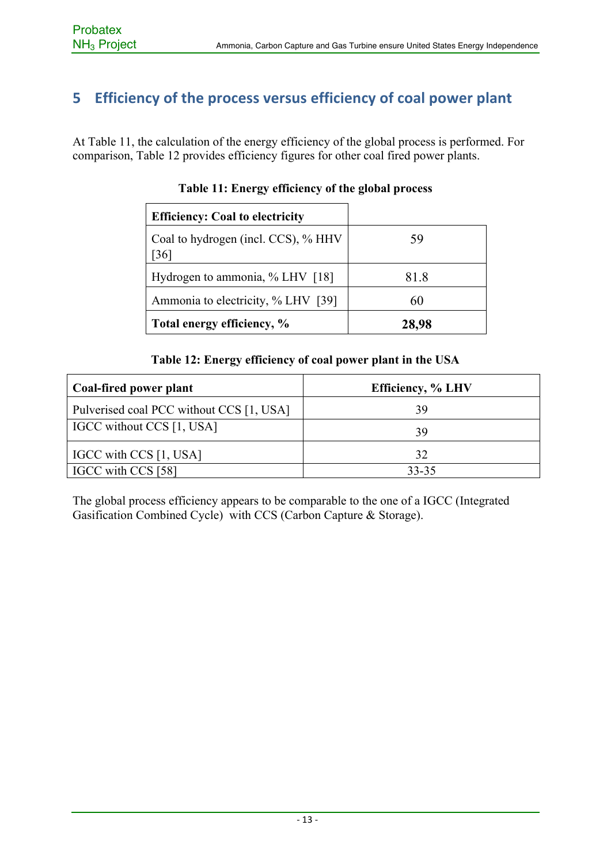## **5 Efficiency of the process versus efficiency of coal power plant**

At Table 11, the calculation of the energy efficiency of the global process is performed. For comparison, Table 12 provides efficiency figures for other coal fired power plants.

| <b>Efficiency: Coal to electricity</b>     |       |
|--------------------------------------------|-------|
| Coal to hydrogen (incl. CCS), % HHV<br>361 | 59    |
| Hydrogen to ammonia, % LHV [18]            | 81.8  |
| Ammonia to electricity, % LHV [39]         | 60    |
| Total energy efficiency, %                 | 28,98 |

#### **Table 12: Energy efficiency of coal power plant in the USA**

| Coal-fired power plant                   | <b>Efficiency, % LHV</b> |
|------------------------------------------|--------------------------|
| Pulverised coal PCC without CCS [1, USA] | 39                       |
| IGCC without CCS [1, USA]                | 39                       |
| IGCC with CCS [1, USA]                   | 32                       |
| IGCC with CCS [58]                       | $33 - 35$                |

The global process efficiency appears to be comparable to the one of a IGCC (Integrated Gasification Combined Cycle) with CCS (Carbon Capture & Storage).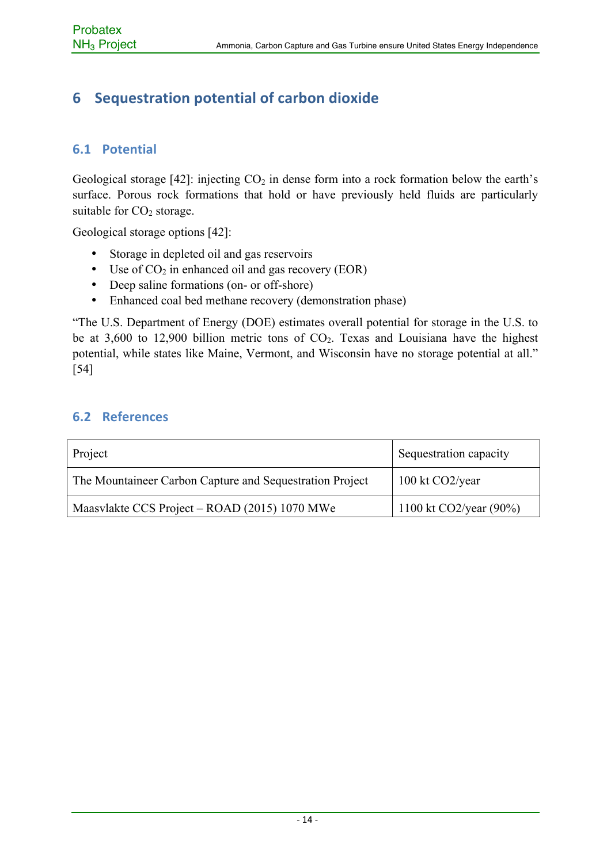## **6** Sequestration potential of carbon dioxide

#### **6.1 Potential**

Geological storage [42]: injecting  $CO<sub>2</sub>$  in dense form into a rock formation below the earth's surface. Porous rock formations that hold or have previously held fluids are particularly suitable for  $CO<sub>2</sub>$  storage.

Geological storage options [42]:

- Storage in depleted oil and gas reservoirs
- Use of  $CO<sub>2</sub>$  in enhanced oil and gas recovery (EOR)
- Deep saline formations (on- or off-shore)
- Enhanced coal bed methane recovery (demonstration phase)

"The U.S. Department of Energy (DOE) estimates overall potential for storage in the U.S. to be at 3,600 to 12,900 billion metric tons of  $CO<sub>2</sub>$ . Texas and Louisiana have the highest potential, while states like Maine, Vermont, and Wisconsin have no storage potential at all." [54]

#### **6.2 References**

| Project                                                  | Sequestration capacity            |
|----------------------------------------------------------|-----------------------------------|
| The Mountaineer Carbon Capture and Sequestration Project | $100 \text{ kt CO2/year}$         |
| Maasvlakte CCS Project – ROAD (2015) 1070 MWe            | $1100 \text{ kt CO2/year} (90\%)$ |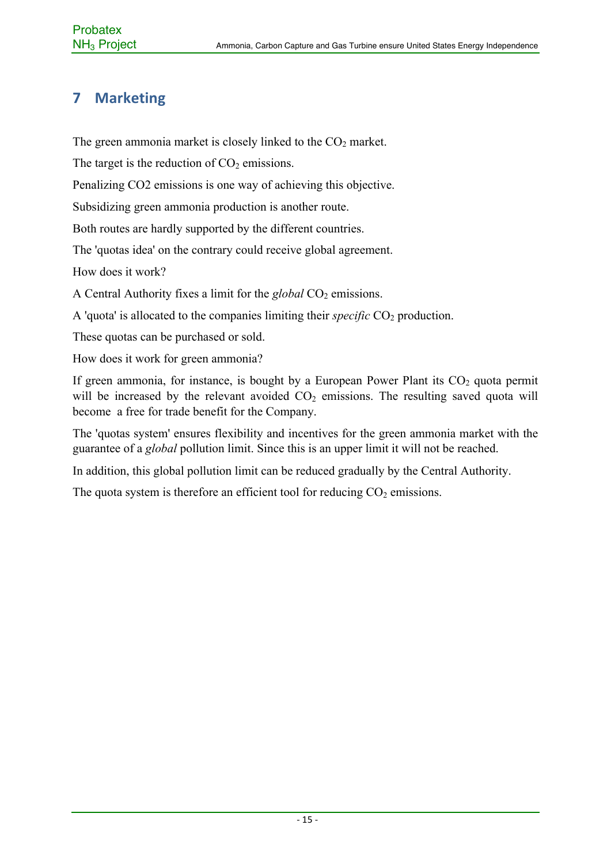## **7 Marketing**

The green ammonia market is closely linked to the  $CO<sub>2</sub>$  market.

The target is the reduction of  $CO<sub>2</sub>$  emissions.

Penalizing CO2 emissions is one way of achieving this objective.

Subsidizing green ammonia production is another route.

Both routes are hardly supported by the different countries.

The 'quotas idea' on the contrary could receive global agreement.

How does it work?

A Central Authority fixes a limit for the *global* CO<sub>2</sub> emissions.

A 'quota' is allocated to the companies limiting their *specific*  $CO<sub>2</sub>$  production.

These quotas can be purchased or sold.

How does it work for green ammonia?

If green ammonia, for instance, is bought by a European Power Plant its  $CO<sub>2</sub>$  quota permit will be increased by the relevant avoided  $CO<sub>2</sub>$  emissions. The resulting saved quota will become a free for trade benefit for the Company.

The 'quotas system' ensures flexibility and incentives for the green ammonia market with the guarantee of a *global* pollution limit. Since this is an upper limit it will not be reached.

In addition, this global pollution limit can be reduced gradually by the Central Authority.

The quota system is therefore an efficient tool for reducing  $CO<sub>2</sub>$  emissions.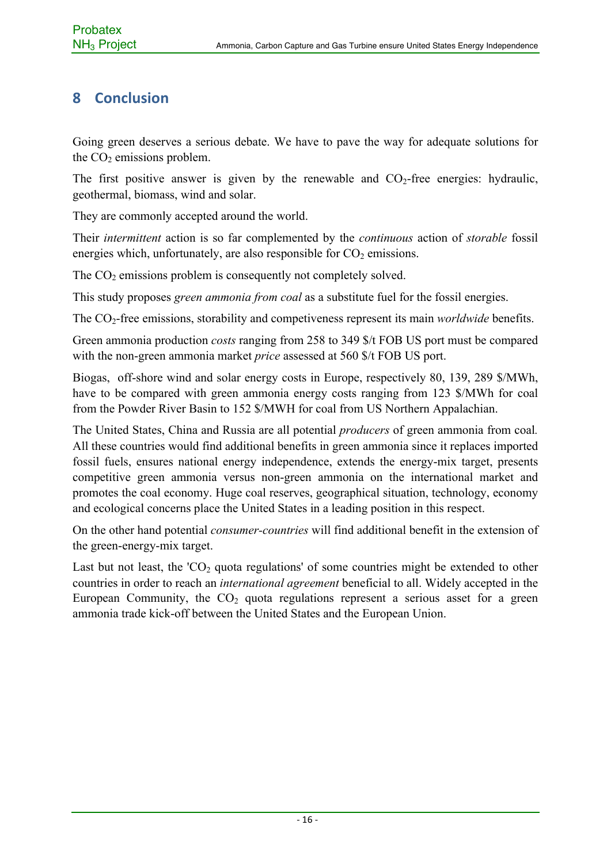## **8 Conclusion**

Going green deserves a serious debate. We have to pave the way for adequate solutions for the  $CO<sub>2</sub>$  emissions problem.

The first positive answer is given by the renewable and  $CO<sub>2</sub>$ -free energies: hydraulic, geothermal, biomass, wind and solar.

They are commonly accepted around the world.

Their *intermittent* action is so far complemented by the *continuous* action of *storable* fossil energies which, unfortunately, are also responsible for  $CO<sub>2</sub>$  emissions.

The  $CO<sub>2</sub>$  emissions problem is consequently not completely solved.

This study proposes *green ammonia from coal* as a substitute fuel for the fossil energies.

The CO2-free emissions, storability and competiveness represent its main *worldwide* benefits.

Green ammonia production *costs* ranging from 258 to 349 \$/t FOB US port must be compared with the non-green ammonia market *price* assessed at 560 \$/t FOB US port.

Biogas, off-shore wind and solar energy costs in Europe, respectively 80, 139, 289 \$/MWh, have to be compared with green ammonia energy costs ranging from 123 \$/MWh for coal from the Powder River Basin to 152 \$/MWH for coal from US Northern Appalachian.

The United States, China and Russia are all potential *producers* of green ammonia from coal*.* All these countries would find additional benefits in green ammonia since it replaces imported fossil fuels, ensures national energy independence, extends the energy-mix target, presents competitive green ammonia versus non-green ammonia on the international market and promotes the coal economy. Huge coal reserves, geographical situation, technology, economy and ecological concerns place the United States in a leading position in this respect.

On the other hand potential *consumer-countries* will find additional benefit in the extension of the green-energy-mix target.

Last but not least, the ' $CO<sub>2</sub>$  quota regulations' of some countries might be extended to other countries in order to reach an *international agreement* beneficial to all. Widely accepted in the European Community, the  $CO<sub>2</sub>$  quota regulations represent a serious asset for a green ammonia trade kick-off between the United States and the European Union.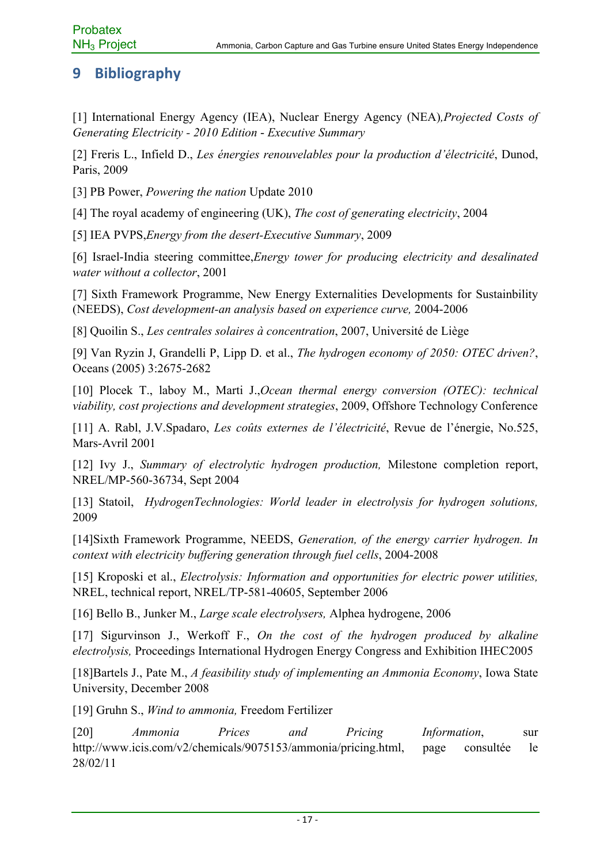## **9 Bibliography**

[1] International Energy Agency (IEA), Nuclear Energy Agency (NEA)*,Projected Costs of Generating Electricity - 2010 Edition* - *Executive Summary*

[2] Freris L., Infield D., *Les énergies renouvelables pour la production d'électricité*, Dunod, Paris, 2009

[3] PB Power, *Powering the nation* Update 2010

[4] The royal academy of engineering (UK), *The cost of generating electricity*, 2004

[5] IEA PVPS,*Energy from the desert-Executive Summary*, 2009

[6] Israel-India steering committee,*Energy tower for producing electricity and desalinated water without a collector*, 2001

[7] Sixth Framework Programme, New Energy Externalities Developments for Sustainbility (NEEDS), *Cost development-an analysis based on experience curve,* 2004-2006

[8] Quoilin S., *Les centrales solaires à concentration*, 2007, Université de Liège

[9] Van Ryzin J, Grandelli P, Lipp D. et al., *The hydrogen economy of 2050: OTEC driven?*, Oceans (2005) 3:2675-2682

[10] Plocek T., laboy M., Marti J.,*Ocean thermal energy conversion (OTEC): technical viability, cost projections and development strategies*, 2009, Offshore Technology Conference

[11] A. Rabl, J.V.Spadaro, *Les coûts externes de l'électricité*, Revue de l'énergie, No.525, Mars-Avril 2001

[12] Ivy J., *Summary of electrolytic hydrogen production,* Milestone completion report, NREL/MP-560-36734, Sept 2004

[13] Statoil, *HydrogenTechnologies: World leader in electrolysis for hydrogen solutions,* 2009

[14]Sixth Framework Programme, NEEDS, *Generation, of the energy carrier hydrogen. In context with electricity buffering generation through fuel cells*, 2004-2008

[15] Kroposki et al., *Electrolysis: Information and opportunities for electric power utilities,*  NREL, technical report, NREL/TP-581-40605, September 2006

[16] Bello B., Junker M., *Large scale electrolysers,* Alphea hydrogene, 2006

[17] Sigurvinson J., Werkoff F., *On the cost of the hydrogen produced by alkaline electrolysis,* Proceedings International Hydrogen Energy Congress and Exhibition IHEC2005

[18]Bartels J., Pate M., *A feasibility study of implementing an Ammonia Economy*, Iowa State University, December 2008

[19] Gruhn S., *Wind to ammonia,* Freedom Fertilizer

[20] *Ammonia Prices and Pricing Information*, sur http://www.icis.com/v2/chemicals/9075153/ammonia/pricing.html, page consultée le 28/02/11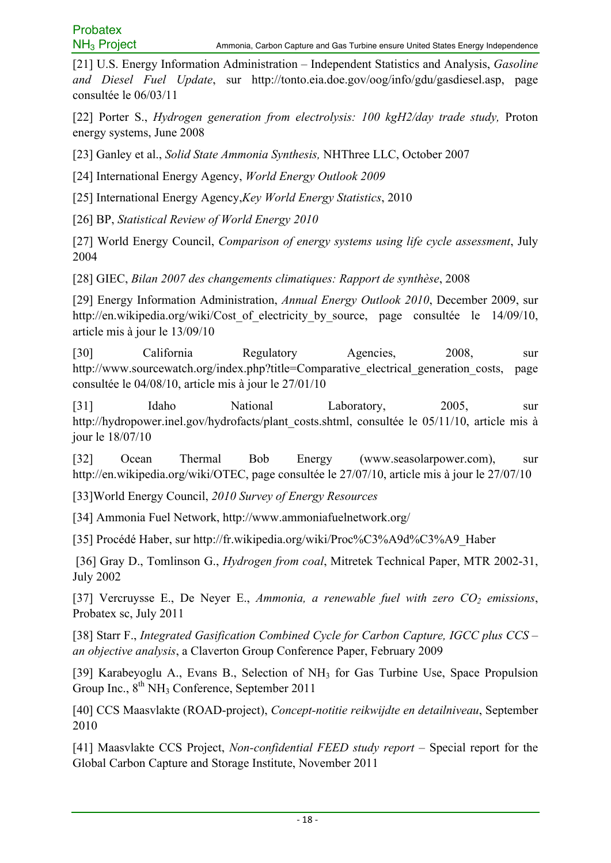[21] U.S. Energy Information Administration – Independent Statistics and Analysis, *Gasoline and Diesel Fuel Update*, sur http://tonto.eia.doe.gov/oog/info/gdu/gasdiesel.asp, page consultée le 06/03/11

[22] Porter S., *Hydrogen generation from electrolysis: 100 kgH2/day trade study,* Proton energy systems, June 2008

[23] Ganley et al., *Solid State Ammonia Synthesis,* NHThree LLC, October 2007

[24] International Energy Agency, *World Energy Outlook 2009*

[25] International Energy Agency,*Key World Energy Statistics*, 2010

[26] BP, *Statistical Review of World Energy 2010*

[27] World Energy Council, *Comparison of energy systems using life cycle assessment*, July 2004

[28] GIEC, *Bilan 2007 des changements climatiques: Rapport de synthèse*, 2008

[29] Energy Information Administration, *Annual Energy Outlook 2010*, December 2009, sur http://en.wikipedia.org/wiki/Cost of electricity by source, page consultée le 14/09/10, article mis à jour le 13/09/10

[30] California Regulatory Agencies, 2008, sur http://www.sourcewatch.org/index.php?title=Comparative electrical generation costs, page consultée le 04/08/10, article mis à jour le 27/01/10

[31] Idaho National Laboratory, 2005, sur http://hydropower.inel.gov/hydrofacts/plant\_costs.shtml, consultée le 05/11/10, article mis à jour le 18/07/10

[32] Ocean Thermal Bob Energy (www.seasolarpower.com), sur http://en.wikipedia.org/wiki/OTEC, page consultée le 27/07/10, article mis à jour le 27/07/10

[33]World Energy Council, *2010 Survey of Energy Resources*

[34] Ammonia Fuel Network, http://www.ammoniafuelnetwork.org/

[35] Procédé Haber, sur http://fr.wikipedia.org/wiki/Proc%C3%A9d%C3%A9\_Haber

 [36] Gray D., Tomlinson G., *Hydrogen from coal*, Mitretek Technical Paper, MTR 2002-31, July 2002

[37] Vercruysse E., De Neyer E., *Ammonia, a renewable fuel with zero CO<sub>2</sub> emissions*, Probatex sc, July 2011

[38] Starr F., *Integrated Gasification Combined Cycle for Carbon Capture, IGCC plus CCS – an objective analysis*, a Claverton Group Conference Paper, February 2009

[39] Karabeyoglu A., Evans B., Selection of NH<sub>3</sub> for Gas Turbine Use, Space Propulsion Group Inc.,  $8<sup>th</sup> NH<sub>3</sub>$  Conference, September 2011

[40] CCS Maasvlakte (ROAD-project), *Concept-notitie reikwijdte en detailniveau*, September 2010

[41] Maasvlakte CCS Project, *Non-confidential FEED study report* – Special report for the Global Carbon Capture and Storage Institute, November 2011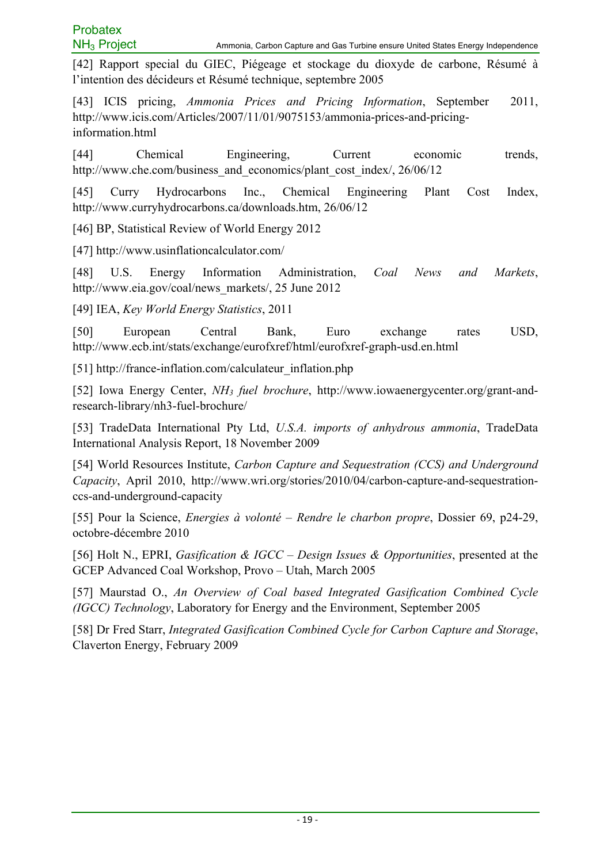[42] Rapport special du GIEC, Piégeage et stockage du dioxyde de carbone, Résumé à l'intention des décideurs et Résumé technique, septembre 2005

[43] ICIS pricing, *Ammonia Prices and Pricing Information*, September 2011, http://www.icis.com/Articles/2007/11/01/9075153/ammonia-prices-and-pricinginformation.html

[44] Chemical Engineering, Current economic trends, http://www.che.com/business\_and\_economics/plant\_cost\_index/, 26/06/12

[45] Curry Hydrocarbons Inc., Chemical Engineering Plant Cost Index, http://www.curryhydrocarbons.ca/downloads.htm, 26/06/12

[46] BP, Statistical Review of World Energy 2012

[47] http://www.usinflationcalculator.com/

[48] U.S. Energy Information Administration, *Coal News and Markets*, http://www.eia.gov/coal/news\_markets/, 25 June 2012

[49] IEA, *Key World Energy Statistics*, 2011

[50] European Central Bank, Euro exchange rates USD, http://www.ecb.int/stats/exchange/eurofxref/html/eurofxref-graph-usd.en.html

[51] http://france-inflation.com/calculateur\_inflation.php

[52] Iowa Energy Center, *NH3 fuel brochure*, http://www.iowaenergycenter.org/grant-andresearch-library/nh3-fuel-brochure/

[53] TradeData International Pty Ltd, *U.S.A. imports of anhydrous ammonia*, TradeData International Analysis Report, 18 November 2009

[54] World Resources Institute, *Carbon Capture and Sequestration (CCS) and Underground Capacity*, April 2010, http://www.wri.org/stories/2010/04/carbon-capture-and-sequestrationccs-and-underground-capacity

[55] Pour la Science, *Energies à volonté – Rendre le charbon propre*, Dossier 69, p24-29, octobre-décembre 2010

[56] Holt N., EPRI, *Gasification & IGCC – Design Issues & Opportunities*, presented at the GCEP Advanced Coal Workshop, Provo – Utah, March 2005

[57] Maurstad O., *An Overview of Coal based Integrated Gasification Combined Cycle (IGCC) Technology*, Laboratory for Energy and the Environment, September 2005

[58] Dr Fred Starr, *Integrated Gasification Combined Cycle for Carbon Capture and Storage*, Claverton Energy, February 2009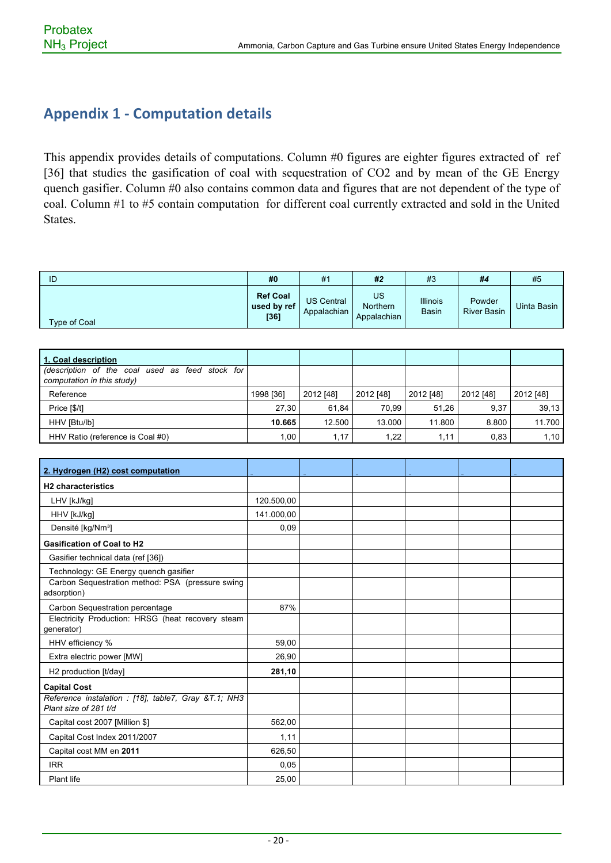## **Appendix 1 - Computation details**

This appendix provides details of computations. Column #0 figures are eighter figures extracted of ref [36] that studies the gasification of coal with sequestration of CO2 and by mean of the GE Energy quench gasifier. Column #0 also contains common data and figures that are not dependent of the type of coal. Column #1 to #5 contain computation for different coal currently extracted and sold in the United States.

| ID                  | #0                                     | #1                               | #2                                   | #3                              | #4                           | #5          |
|---------------------|----------------------------------------|----------------------------------|--------------------------------------|---------------------------------|------------------------------|-------------|
| <b>Type of Coal</b> | <b>Ref Coal</b><br>used by ref<br>[36] | <b>US Central</b><br>Appalachian | US<br><b>Northern</b><br>Appalachian | <b>Illinois</b><br><b>Basin</b> | Powder<br><b>River Basin</b> | Uinta Basin |

| 1. Coal description                                                           |           |           |           |           |           |           |
|-------------------------------------------------------------------------------|-----------|-----------|-----------|-----------|-----------|-----------|
| (description of the coal used as feed stock for<br>computation in this study) |           |           |           |           |           |           |
| Reference                                                                     | 1998 [36] | 2012 [48] | 2012 [48] | 2012 [48] | 2012 [48] | 2012 [48] |
| Price [\$/t]                                                                  | 27.30     | 61.84     | 70.99     | 51.26     | 9.37      | 39,13     |
| HHV [Btu/lb]                                                                  | 10.665    | 12.500    | 13.000    | 11.800    | 8.800     | 11.700    |
| HHV Ratio (reference is Coal #0)                                              | 1.00      | 1,17      | 1,22      | 1,11      | 0,83      | 1,10      |

| 2. Hydrogen (H2) cost computation                                            |            |  |  |  |
|------------------------------------------------------------------------------|------------|--|--|--|
| <b>H2</b> characteristics                                                    |            |  |  |  |
| LHV [kJ/kg]                                                                  | 120.500,00 |  |  |  |
| HHV [kJ/kg]                                                                  | 141.000,00 |  |  |  |
| Densité [kg/Nm <sup>3</sup> ]                                                | 0,09       |  |  |  |
| <b>Gasification of Coal to H2</b>                                            |            |  |  |  |
| Gasifier technical data (ref [36])                                           |            |  |  |  |
| Technology: GE Energy quench gasifier                                        |            |  |  |  |
| Carbon Sequestration method: PSA (pressure swing<br>adsorption)              |            |  |  |  |
| Carbon Sequestration percentage                                              | 87%        |  |  |  |
| Electricity Production: HRSG (heat recovery steam<br>generator)              |            |  |  |  |
| HHV efficiency %                                                             | 59,00      |  |  |  |
| Extra electric power [MW]                                                    | 26,90      |  |  |  |
| H2 production [t/day]                                                        | 281,10     |  |  |  |
| <b>Capital Cost</b>                                                          |            |  |  |  |
| Reference instalation : [18], table7, Gray &T.1 NH3<br>Plant size of 281 t/d |            |  |  |  |
| Capital cost 2007 [Million \$]                                               | 562,00     |  |  |  |
| Capital Cost Index 2011/2007                                                 | 1,11       |  |  |  |
| Capital cost MM en 2011                                                      | 626,50     |  |  |  |
| <b>IRR</b>                                                                   | 0,05       |  |  |  |
| <b>Plant life</b>                                                            | 25,00      |  |  |  |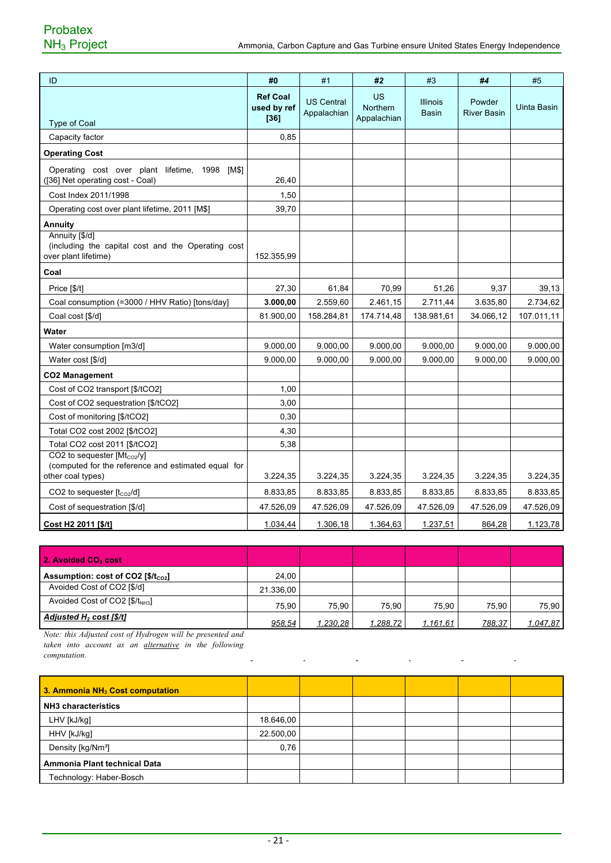| ID                                                                                                     | #0                                       | #1                               | #2                                   | #3                              | #4                           | #5          |
|--------------------------------------------------------------------------------------------------------|------------------------------------------|----------------------------------|--------------------------------------|---------------------------------|------------------------------|-------------|
| <b>Type of Coal</b>                                                                                    | <b>Ref Coal</b><br>used by ref<br>$[36]$ | <b>US Central</b><br>Appalachian | US<br><b>Northern</b><br>Appalachian | <b>Illinois</b><br><b>Basin</b> | Powder<br><b>River Basin</b> | Uinta Basin |
| Capacity factor                                                                                        | 0,85                                     |                                  |                                      |                                 |                              |             |
| <b>Operating Cost</b>                                                                                  |                                          |                                  |                                      |                                 |                              |             |
| Operating cost over plant lifetime, 1998<br>[M\$]<br>([36] Net operating cost - Coal)                  | 26,40                                    |                                  |                                      |                                 |                              |             |
| Cost Index 2011/1998                                                                                   | 1,50                                     |                                  |                                      |                                 |                              |             |
| Operating cost over plant lifetime, 2011 [M\$]                                                         | 39,70                                    |                                  |                                      |                                 |                              |             |
| <b>Annuity</b>                                                                                         |                                          |                                  |                                      |                                 |                              |             |
| Annuity [\$/d]<br>(including the capital cost and the Operating cost<br>over plant lifetime)           | 152.355,99                               |                                  |                                      |                                 |                              |             |
| Coal                                                                                                   |                                          |                                  |                                      |                                 |                              |             |
| Price [\$/t]                                                                                           | 27,30                                    | 61,84                            | 70,99                                | 51,26                           | 9,37                         | 39,13       |
| Coal consumption (=3000 / HHV Ratio) [tons/day]                                                        | 3.000,00                                 | 2.559,60                         | 2.461,15                             | 2.711,44                        | 3.635,80                     | 2.734,62    |
| Coal cost [\$/d]                                                                                       | 81.900.00                                | 158.284,81                       | 174.714,48                           | 138.981,61                      | 34.066,12                    | 107.011,11  |
| Water                                                                                                  |                                          |                                  |                                      |                                 |                              |             |
| Water consumption [m3/d]                                                                               | 9.000,00                                 | 9.000,00                         | 9.000,00                             | 9.000,00                        | 9.000,00                     | 9.000,00    |
| Water cost [\$/d]                                                                                      | 9.000,00                                 | 9.000,00                         | 9.000,00                             | 9.000,00                        | 9.000,00                     | 9.000,00    |
| <b>CO2 Management</b>                                                                                  |                                          |                                  |                                      |                                 |                              |             |
| Cost of CO2 transport [\$/tCO2]                                                                        | 1,00                                     |                                  |                                      |                                 |                              |             |
| Cost of CO2 sequestration [\$/tCO2]                                                                    | 3,00                                     |                                  |                                      |                                 |                              |             |
| Cost of monitoring [\$/tCO2]                                                                           | 0,30                                     |                                  |                                      |                                 |                              |             |
| Total CO2 cost 2002 [\$/tCO2]                                                                          | 4,30                                     |                                  |                                      |                                 |                              |             |
| Total CO2 cost 2011 [\$/tCO2]                                                                          | 5,38                                     |                                  |                                      |                                 |                              |             |
| CO2 to sequester [Mtco2/y]<br>(computed for the reference and estimated equal for<br>other coal types) | 3.224,35                                 | 3.224,35                         | 3.224,35                             | 3.224,35                        | 3.224,35                     | 3.224,35    |
| CO2 to sequester $[t_{CO2}/d]$                                                                         | 8.833,85                                 | 8.833,85                         | 8.833,85                             | 8.833,85                        | 8.833,85                     | 8.833,85    |
| Cost of sequestration [\$/d]                                                                           | 47.526,09                                | 47.526,09                        | 47.526,09                            | 47.526,09                       | 47.526,09                    | 47.526,09   |
| Cost H2 2011 [\$/t]                                                                                    | 1.034,44                                 | 1.306,18                         | 1.364,63                             | 1.237,51                        | 864,28                       | 1.123,78    |

| 2. Avoided CO <sub>2</sub> cost                                  |           |          |          |          |        |          |
|------------------------------------------------------------------|-----------|----------|----------|----------|--------|----------|
| <b>Assumption: cost of CO2 <math>\beta/t_{\text{co2}}</math></b> | 24.00     |          |          |          |        |          |
| Avoided Cost of CO2 [\$/d]                                       | 21.336,00 |          |          |          |        |          |
| Avoided Cost of CO2 $[$/t_{NH3}]$                                | 75.90     | 75.90    | 75.90    | 75.90    | 75.90  | 75,90    |
| Adjusted $H_2$ cost $\frac{1}{2}$ /t]                            | 958,54    | 1.230,28 | 1.288,72 | 1.161,61 | 788,37 | 1.047,87 |

 $\overline{a}$ 

 $\overline{a}$ 

 $\overline{a}$ 

 $\mathbf{r}$ 

*Note: this Adjusted cost of Hydrogen will be presented and taken into account as an alternative in the following computation.*  $\mathbf{r}$ 

| 3. Ammonia NH <sub>3</sub> Cost computation |           |  |  |  |
|---------------------------------------------|-----------|--|--|--|
| NH3 characteristics                         |           |  |  |  |
| LHV [kJ/kg]                                 | 18.646,00 |  |  |  |
| HHV [kJ/kg]                                 | 22.500,00 |  |  |  |
| Density [kg/Nm <sup>3</sup> ]               | 0,76      |  |  |  |
| l Ammonia Plant technical Data              |           |  |  |  |
| Technology: Haber-Bosch                     |           |  |  |  |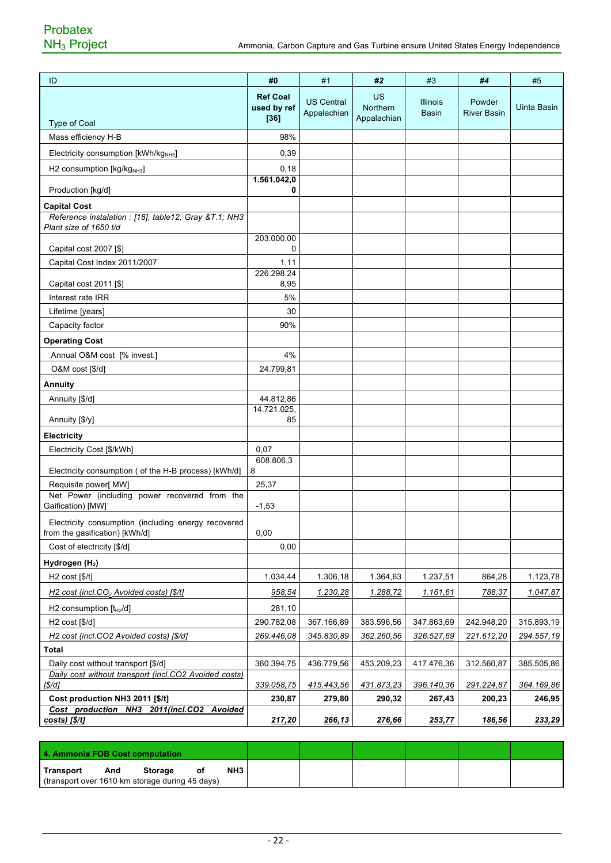| ID                                                                                         | #0                                       | #1                               | #2                            | #3                              | #4                           | #5                |
|--------------------------------------------------------------------------------------------|------------------------------------------|----------------------------------|-------------------------------|---------------------------------|------------------------------|-------------------|
| <b>Type of Coal</b>                                                                        | <b>Ref Coal</b><br>used by ref<br>$[36]$ | <b>US Central</b><br>Appalachian | US<br>Northern<br>Appalachian | <b>Illinois</b><br><b>Basin</b> | Powder<br><b>River Basin</b> | Uinta Basin       |
| Mass efficiency H-B                                                                        | 98%                                      |                                  |                               |                                 |                              |                   |
| Electricity consumption [kWh/kg <sub>NH3</sub> ]                                           | 0,39                                     |                                  |                               |                                 |                              |                   |
| H2 consumption [kg/kg <sub>NH3</sub> ]                                                     | 0,18                                     |                                  |                               |                                 |                              |                   |
| Production [kg/d]                                                                          | 1.561.042,0<br>0                         |                                  |                               |                                 |                              |                   |
| <b>Capital Cost</b>                                                                        |                                          |                                  |                               |                                 |                              |                   |
| Reference instalation : [18], table12, Gray &T.1 NH3<br>Plant size of 1650 t/d             |                                          |                                  |                               |                                 |                              |                   |
| Capital cost 2007 [\$]                                                                     | 203.000.00<br>0                          |                                  |                               |                                 |                              |                   |
| Capital Cost Index 2011/2007                                                               | 1,11                                     |                                  |                               |                                 |                              |                   |
|                                                                                            | 226.298.24<br>8,95                       |                                  |                               |                                 |                              |                   |
| Capital cost 2011 [\$]<br>Interest rate IRR                                                | 5%                                       |                                  |                               |                                 |                              |                   |
| Lifetime [years]                                                                           | 30                                       |                                  |                               |                                 |                              |                   |
| Capacity factor                                                                            | 90%                                      |                                  |                               |                                 |                              |                   |
| <b>Operating Cost</b>                                                                      |                                          |                                  |                               |                                 |                              |                   |
| Annual O&M cost [% invest.]                                                                | 4%                                       |                                  |                               |                                 |                              |                   |
| O&M cost [\$/d]                                                                            | 24.799,81                                |                                  |                               |                                 |                              |                   |
| <b>Annuity</b>                                                                             |                                          |                                  |                               |                                 |                              |                   |
| Annuity [\$/d]                                                                             | 44.812,86                                |                                  |                               |                                 |                              |                   |
| Annuity [\$/y]                                                                             | 14.721.025,<br>85                        |                                  |                               |                                 |                              |                   |
| Electricity                                                                                |                                          |                                  |                               |                                 |                              |                   |
| Electricity Cost [\$/kWh]                                                                  | 0,07                                     |                                  |                               |                                 |                              |                   |
|                                                                                            | 608.806,3                                |                                  |                               |                                 |                              |                   |
| Electricity consumption ( of the H-B process) [kWh/d]                                      | 8                                        |                                  |                               |                                 |                              |                   |
| Requisite power[ MW]<br>Net Power (including power recovered from the<br>Gaification) [MW] | 25,37<br>$-1,53$                         |                                  |                               |                                 |                              |                   |
| Electricity consumption (including energy recovered<br>from the gasification) [kWh/d]      | 0,00                                     |                                  |                               |                                 |                              |                   |
| Cost of electricity [\$/d]                                                                 | 0,00                                     |                                  |                               |                                 |                              |                   |
| Hydrogen (H <sub>2</sub> )                                                                 |                                          |                                  |                               |                                 |                              |                   |
| H2 cost [\$(t]                                                                             | 1.034,44                                 | 1.306,18                         | 1.364,63                      | 1.237,51                        | 864,28                       | 1.123,78          |
| H2 cost (incl.CO <sub>2</sub> Avoided costs) [\$/t]                                        | 958.54                                   | 1.230.28                         | 1.288,72                      | 1.161.61                        | 788,37                       | 1.047.87          |
| H <sub>2</sub> consumption $[tH2/d]$                                                       | 281,10                                   |                                  |                               |                                 |                              |                   |
| H2 cost [\$/d]                                                                             | 290.782,08                               | 367.166,89                       | 383.596,56                    | 347.863,69                      | 242.948,20                   | 315.893,19        |
| H2 cost (incl.CO2 Avoided costs) [\$/d]                                                    | 269.446,08                               | 345.830,89                       | 362.260,56                    | 326.527,69                      | 221.612,20                   | <u>294.557,19</u> |
| Total                                                                                      |                                          |                                  |                               |                                 |                              |                   |
| Daily cost without transport [\$/d]                                                        | 360.394,75                               | 436.779,56                       | 453.209,23                    | 417.476,36                      | 312.560,87                   | 385.505,86        |
| Daily cost without transport (incl.CO2 Avoided costs)<br>[\$/d]                            | 339.058,75                               | 415.443,56                       | 431.873,23                    | 396.140,36                      | 291.224,87                   | 364.169,86        |
| Cost production NH3 2011 [\$/t]                                                            | 230,87                                   | 279,80                           | 290,32                        | 267,43                          | 200,23                       | 246,95            |
| Cost production NH3 2011(incl.CO2<br><b>Avoided</b><br>costs) [\$/t]                       | 217,20                                   | 266,13                           | 276,66                        | 253,77                          | 186,56                       | 233,29            |

| 4. Ammonia FOB Cost computation                 |     |         |    |     |  |  |  |
|-------------------------------------------------|-----|---------|----|-----|--|--|--|
| Transport                                       | And | Storage | 0t | NH3 |  |  |  |
| (transport over 1610 km storage during 45 days) |     |         |    |     |  |  |  |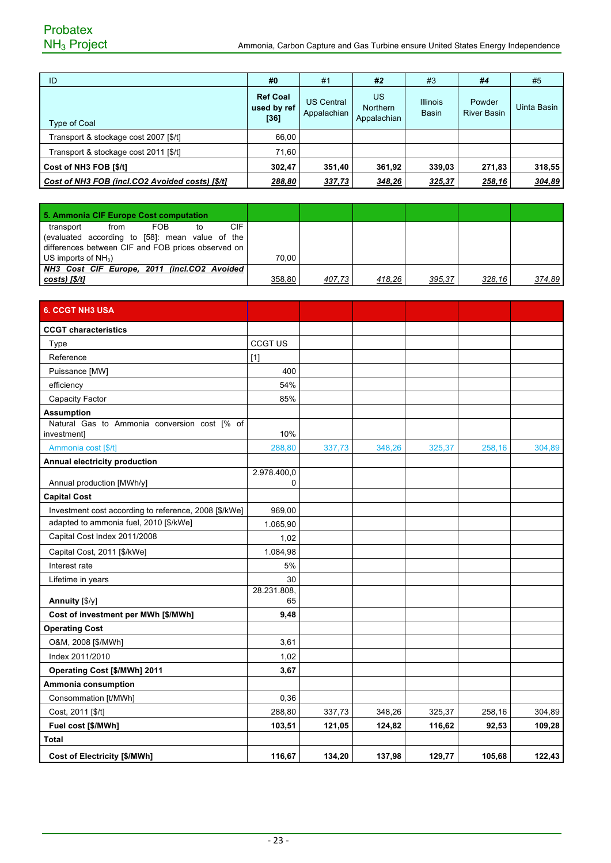## Probatex<br>NH<sub>3</sub> Project

| ID                                              | #0                                     | #1                               | #2                                   | #3                              | #4                           | #5          |
|-------------------------------------------------|----------------------------------------|----------------------------------|--------------------------------------|---------------------------------|------------------------------|-------------|
| <b>Type of Coal</b>                             | <b>Ref Coal</b><br>used by ref<br>[36] | <b>US Central</b><br>Appalachian | US<br><b>Northern</b><br>Appalachian | <b>Illinois</b><br><b>Basin</b> | Powder<br><b>River Basin</b> | Uinta Basin |
| Transport & stockage cost 2007 [\$/t]           | 66,00                                  |                                  |                                      |                                 |                              |             |
| Transport & stockage cost 2011 [\$/t]           | 71,60                                  |                                  |                                      |                                 |                              |             |
| Cost of NH3 FOB [\$/t]                          | 302,47                                 | 351,40                           | 361,92                               | 339,03                          | 271,83                       | 318,55      |
| Cost of NH3 FOB (incl.CO2 Avoided costs) [\$/t] | 288,80                                 | 337,73                           | 348,26                               | 325,37                          | 258,16                       | 304,89      |

| 5. Ammonia CIF Europe Cost computation             |        |        |        |        |        |        |
|----------------------------------------------------|--------|--------|--------|--------|--------|--------|
| CIF<br><b>FOB</b><br>transport<br>from<br>to       |        |        |        |        |        |        |
| (evaluated according to [58]: mean value of the    |        |        |        |        |        |        |
| differences between CIF and FOB prices observed on |        |        |        |        |        |        |
| US imports of $NH3$ )                              | 70.00  |        |        |        |        |        |
| NH3 Cost CIF Europe, 2011 (incl.CO2 Avoided        |        |        |        |        |        |        |
| $costs$ ) $f\frac{s}{t}$                           | 358,80 | 407.73 | 418,26 | 395,37 | 328,16 | 374.89 |

| <b>6. CCGT NH3 USA</b>                                                       |                  |        |        |        |        |        |
|------------------------------------------------------------------------------|------------------|--------|--------|--------|--------|--------|
| <b>CCGT</b> characteristics                                                  |                  |        |        |        |        |        |
| Type                                                                         | <b>CCGT US</b>   |        |        |        |        |        |
| Reference                                                                    | $[1]$            |        |        |        |        |        |
| Puissance [MW]                                                               | 400              |        |        |        |        |        |
| efficiency                                                                   | 54%              |        |        |        |        |        |
| Capacity Factor                                                              | 85%              |        |        |        |        |        |
| <b>Assumption</b>                                                            |                  |        |        |        |        |        |
| Natural Gas to Ammonia conversion cost [% of<br><i>investment]</i>           | 10%              |        |        |        |        |        |
| Ammonia cost [\$/t]                                                          | 288,80           | 337,73 | 348,26 | 325,37 | 258,16 | 304,89 |
| Annual electricity production                                                |                  |        |        |        |        |        |
| Annual production [MWh/y]                                                    | 2.978.400,0<br>0 |        |        |        |        |        |
|                                                                              |                  |        |        |        |        |        |
| <b>Capital Cost</b><br>Investment cost according to reference, 2008 [\$/kWe] | 969,00           |        |        |        |        |        |
| adapted to ammonia fuel, 2010 [\$/kWe]                                       | 1.065,90         |        |        |        |        |        |
| Capital Cost Index 2011/2008                                                 | 1,02             |        |        |        |        |        |
| Capital Cost, 2011 [\$/kWe]                                                  | 1.084,98         |        |        |        |        |        |
| Interest rate                                                                | 5%               |        |        |        |        |        |
| Lifetime in years                                                            | 30               |        |        |        |        |        |
|                                                                              | 28.231.808,      |        |        |        |        |        |
| Annuity [\$/y]                                                               | 65               |        |        |        |        |        |
| Cost of investment per MWh [\$/MWh]                                          | 9,48             |        |        |        |        |        |
| <b>Operating Cost</b>                                                        |                  |        |        |        |        |        |
| O&M, 2008 [\$/MWh]                                                           | 3,61             |        |        |        |        |        |
| Index 2011/2010                                                              | 1,02             |        |        |        |        |        |
| Operating Cost [\$/MWh] 2011                                                 | 3,67             |        |        |        |        |        |
| Ammonia consumption                                                          |                  |        |        |        |        |        |
| Consommation [t/MWh]                                                         | 0,36             |        |        |        |        |        |
| Cost, 2011 [\$/t]                                                            | 288,80           | 337,73 | 348,26 | 325,37 | 258,16 | 304,89 |
| Fuel cost [\$/MWh]                                                           | 103,51           | 121,05 | 124,82 | 116,62 | 92,53  | 109,28 |
| Total                                                                        |                  |        |        |        |        |        |
| <b>Cost of Electricity [\$/MWh]</b>                                          | 116,67           | 134,20 | 137,98 | 129,77 | 105,68 | 122,43 |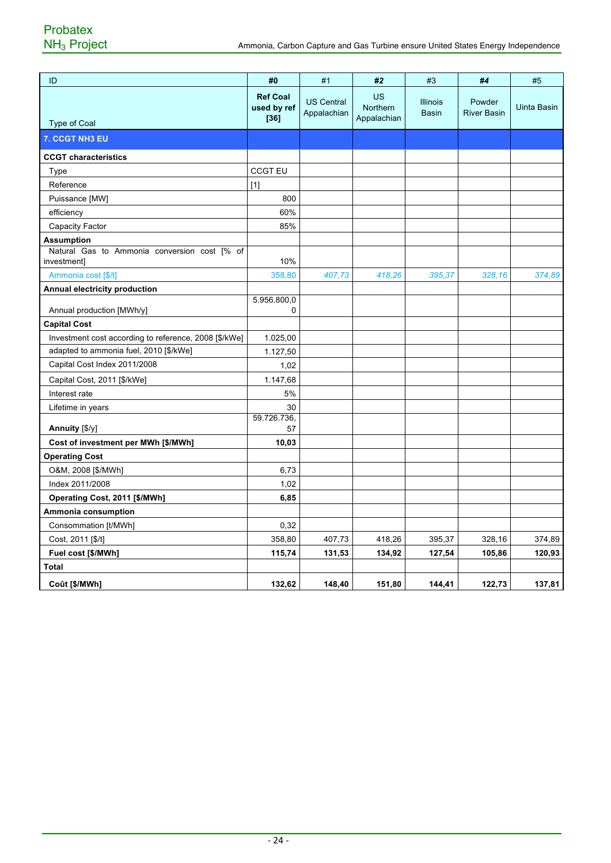| ID                                                          | #0                                       | #1                               | #2                                   | #3                              | #4                           | #5          |
|-------------------------------------------------------------|------------------------------------------|----------------------------------|--------------------------------------|---------------------------------|------------------------------|-------------|
| <b>Type of Coal</b>                                         | <b>Ref Coal</b><br>used by ref<br>$[36]$ | <b>US Central</b><br>Appalachian | <b>US</b><br>Northern<br>Appalachian | <b>Illinois</b><br><b>Basin</b> | Powder<br><b>River Basin</b> | Uinta Basin |
| 7. CCGT NH3 EU                                              |                                          |                                  |                                      |                                 |                              |             |
| <b>CCGT characteristics</b>                                 |                                          |                                  |                                      |                                 |                              |             |
| Type                                                        | <b>CCGT EU</b>                           |                                  |                                      |                                 |                              |             |
| Reference                                                   | $[1]$                                    |                                  |                                      |                                 |                              |             |
| Puissance [MW]                                              | 800                                      |                                  |                                      |                                 |                              |             |
| efficiency                                                  | 60%                                      |                                  |                                      |                                 |                              |             |
| Capacity Factor                                             | 85%                                      |                                  |                                      |                                 |                              |             |
| <b>Assumption</b>                                           |                                          |                                  |                                      |                                 |                              |             |
| Natural Gas to Ammonia conversion cost [% of<br>investment] | 10%                                      |                                  |                                      |                                 |                              |             |
| Ammonia cost [\$/t]                                         | 358,80                                   | 407,73                           | 418,26                               | 395,37                          | 328,16                       | 374,89      |
| Annual electricity production                               |                                          |                                  |                                      |                                 |                              |             |
| Annual production [MWh/y]                                   | 5.956.800,0<br>0                         |                                  |                                      |                                 |                              |             |
| <b>Capital Cost</b>                                         |                                          |                                  |                                      |                                 |                              |             |
| Investment cost according to reference, 2008 [\$/kWe]       | 1.025,00                                 |                                  |                                      |                                 |                              |             |
| adapted to ammonia fuel, 2010 [\$/kWe]                      | 1.127,50                                 |                                  |                                      |                                 |                              |             |
| Capital Cost Index 2011/2008                                | 1,02                                     |                                  |                                      |                                 |                              |             |
| Capital Cost, 2011 [\$/kWe]                                 | 1.147,68                                 |                                  |                                      |                                 |                              |             |
| Interest rate                                               | 5%                                       |                                  |                                      |                                 |                              |             |
| Lifetime in years                                           | 30                                       |                                  |                                      |                                 |                              |             |
| Annuity $[\sqrt[6]{y}]$                                     | 59.726.736,<br>57                        |                                  |                                      |                                 |                              |             |
| Cost of investment per MWh [\$/MWh]                         | 10,03                                    |                                  |                                      |                                 |                              |             |
| <b>Operating Cost</b>                                       |                                          |                                  |                                      |                                 |                              |             |
| O&M, 2008 [\$/MWh]                                          | 6,73                                     |                                  |                                      |                                 |                              |             |
| Index 2011/2008                                             | 1,02                                     |                                  |                                      |                                 |                              |             |
| Operating Cost, 2011 [\$/MWh]                               | 6,85                                     |                                  |                                      |                                 |                              |             |
| Ammonia consumption                                         |                                          |                                  |                                      |                                 |                              |             |
| Consommation [t/MWh]                                        | 0,32                                     |                                  |                                      |                                 |                              |             |
| Cost, 2011 [\$/t]                                           | 358,80                                   | 407,73                           | 418,26                               | 395,37                          | 328,16                       | 374,89      |
| Fuel cost [\$/MWh]                                          | 115,74                                   | 131,53                           | 134,92                               | 127,54                          | 105,86                       | 120,93      |
| Total                                                       |                                          |                                  |                                      |                                 |                              |             |
| Coût [\$/MWh]                                               | 132,62                                   | 148,40                           | 151,80                               | 144,41                          | 122,73                       | 137,81      |